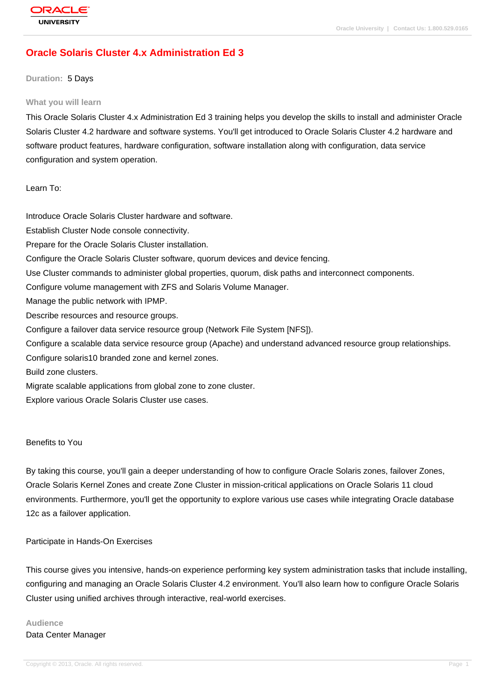# **[Oracle Solaris](http://education.oracle.com/pls/web_prod-plq-dad/db_pages.getpage?page_id=3) Cluster 4.x Administration Ed 3**

#### **Duration:** 5 Days

#### **What you will learn**

This Oracle Solaris Cluster 4.x Administration Ed 3 training helps you develop the skills to install and administer Oracle Solaris Cluster 4.2 hardware and software systems. You'll get introduced to Oracle Solaris Cluster 4.2 hardware and software product features, hardware configuration, software installation along with configuration, data service configuration and system operation.

Learn To:

Introduce Oracle Solaris Cluster hardware and software. Establish Cluster Node console connectivity. Prepare for the Oracle Solaris Cluster installation. Configure the Oracle Solaris Cluster software, quorum devices and device fencing. Use Cluster commands to administer global properties, quorum, disk paths and interconnect components. Configure volume management with ZFS and Solaris Volume Manager. Manage the public network with IPMP. Describe resources and resource groups. Configure a failover data service resource group (Network File System [NFS]). Configure a scalable data service resource group (Apache) and understand advanced resource group relationships. Configure solaris10 branded zone and kernel zones. Build zone clusters.

Migrate scalable applications from global zone to zone cluster.

Explore various Oracle Solaris Cluster use cases.

#### Benefits to You

By taking this course, you'll gain a deeper understanding of how to configure Oracle Solaris zones, failover Zones, Oracle Solaris Kernel Zones and create Zone Cluster in mission-critical applications on Oracle Solaris 11 cloud environments. Furthermore, you'll get the opportunity to explore various use cases while integrating Oracle database 12c as a failover application.

#### Participate in Hands-On Exercises

This course gives you intensive, hands-on experience performing key system administration tasks that include installing, configuring and managing an Oracle Solaris Cluster 4.2 environment. You'll also learn how to configure Oracle Solaris Cluster using unified archives through interactive, real-world exercises.

### **Audience** Data Center Manager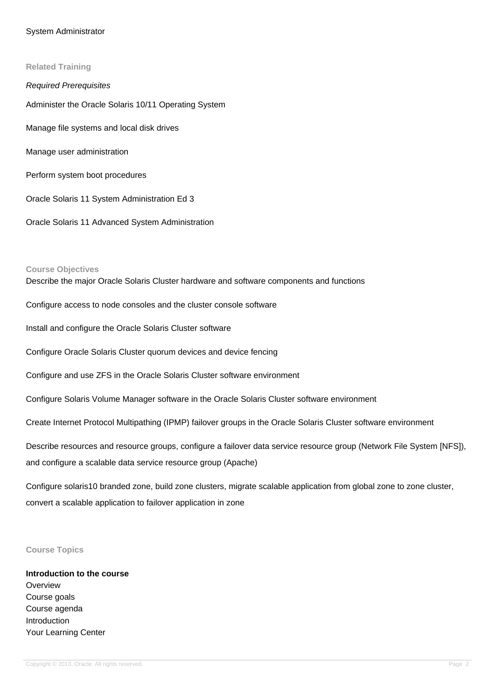#### System Administrator

**Related Training** Required Prerequisites Administer the Oracle Solaris 10/11 Operating System Manage file systems and local disk drives Manage user administration Perform system boot procedures Oracle Solaris 11 System Administration Ed 3

Oracle Solaris 11 Advanced System Administration

#### **Course Objectives**

Describe the major Oracle Solaris Cluster hardware and software components and functions

Configure access to node consoles and the cluster console software

Install and configure the Oracle Solaris Cluster software

Configure Oracle Solaris Cluster quorum devices and device fencing

Configure and use ZFS in the Oracle Solaris Cluster software environment

Configure Solaris Volume Manager software in the Oracle Solaris Cluster software environment

Create Internet Protocol Multipathing (IPMP) failover groups in the Oracle Solaris Cluster software environment

Describe resources and resource groups, configure a failover data service resource group (Network File System [NFS]), and configure a scalable data service resource group (Apache)

Configure solaris10 branded zone, build zone clusters, migrate scalable application from global zone to zone cluster, convert a scalable application to failover application in zone

#### **Course Topics**

# **Introduction to the course Overview** Course goals Course agenda Introduction Your Learning Center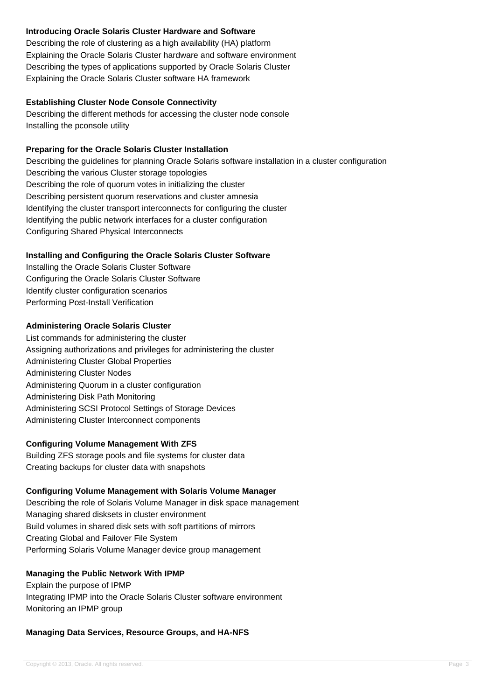# **Introducing Oracle Solaris Cluster Hardware and Software**

Describing the role of clustering as a high availability (HA) platform Explaining the Oracle Solaris Cluster hardware and software environment Describing the types of applications supported by Oracle Solaris Cluster Explaining the Oracle Solaris Cluster software HA framework

### **Establishing Cluster Node Console Connectivity**

Describing the different methods for accessing the cluster node console Installing the pconsole utility

### **Preparing for the Oracle Solaris Cluster Installation**

Describing the guidelines for planning Oracle Solaris software installation in a cluster configuration Describing the various Cluster storage topologies Describing the role of quorum votes in initializing the cluster Describing persistent quorum reservations and cluster amnesia Identifying the cluster transport interconnects for configuring the cluster Identifying the public network interfaces for a cluster configuration Configuring Shared Physical Interconnects

### **Installing and Configuring the Oracle Solaris Cluster Software**

Installing the Oracle Solaris Cluster Software Configuring the Oracle Solaris Cluster Software Identify cluster configuration scenarios Performing Post-Install Verification

### **Administering Oracle Solaris Cluster**

List commands for administering the cluster Assigning authorizations and privileges for administering the cluster Administering Cluster Global Properties Administering Cluster Nodes Administering Quorum in a cluster configuration Administering Disk Path Monitoring Administering SCSI Protocol Settings of Storage Devices Administering Cluster Interconnect components

### **Configuring Volume Management With ZFS**

Building ZFS storage pools and file systems for cluster data Creating backups for cluster data with snapshots

### **Configuring Volume Management with Solaris Volume Manager**

Describing the role of Solaris Volume Manager in disk space management Managing shared disksets in cluster environment Build volumes in shared disk sets with soft partitions of mirrors Creating Global and Failover File System Performing Solaris Volume Manager device group management

### **Managing the Public Network With IPMP**

Explain the purpose of IPMP Integrating IPMP into the Oracle Solaris Cluster software environment Monitoring an IPMP group

### **Managing Data Services, Resource Groups, and HA-NFS**